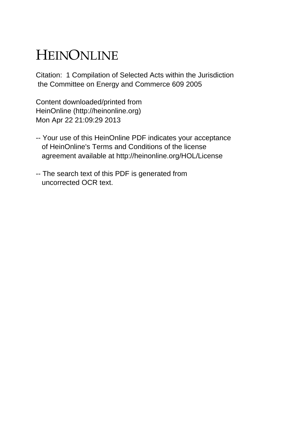# HEINONLINE

Citation: 1 Compilation of Selected Acts within the Jurisdiction the Committee on Energy and Commerce 609 2005

Content downloaded/printed from HeinOnline (http://heinonline.org) Mon Apr 22 21:09:29 2013

- -- Your use of this HeinOnline PDF indicates your acceptance of HeinOnline's Terms and Conditions of the license agreement available at http://heinonline.org/HOL/License
- -- The search text of this PDF is generated from uncorrected OCR text.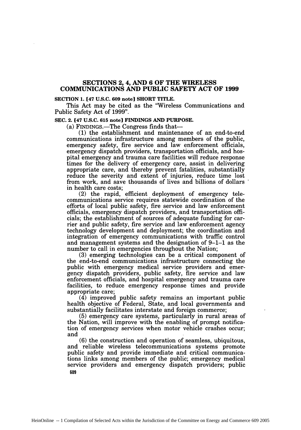## **SECTIONS 2,4, AND 6 OF THE WIRELESS COMMUNICATIONS AND PUBLIC SAFETY ACT OF 1999**

#### **SECTION 1. [47 U.S.C. 609 note] SHORT TITLE.**

This Act may be cited as the "Wireless Communications and Public Safety Act of **1999".**

#### **SEC. 2. [47 U.S.C. 615 note] FINDINGS AND PURPOSE.**

(a) FINDINGS.—The Congress finds that-

**(1)** the establishment and maintenance of an end-to-end communications infrastructure among members of the public, emergency safety, fire service and law enforcement officials, emergency dispatch providers, transportation officials, and hospital emergency and trauma care facilities will reduce response times for the delivery of emergency care, assist in delivering appropriate care, and thereby prevent fatalities, substantially reduce the severity and extent of injuries, reduce time lost from work, and save thousands of lives and billions of dollars in health care costs;

(2) the rapid, efficient deployment of emergency telecommunications service requires statewide coordination of the efforts of local public safety, fire service and law enforcement officials, emergency dispatch providers, and transportation officials; the establishment of sources of adequate funding for carrier and public safety, fire service and law enforcement agency technology development and deployment; the coordination and integration of emergency communications with traffic control and management systems and the designation of 9-1-1 as the number to call in emergencies throughout the Nation;

(3) emerging technologies can be a critical component of the end-to-end communications infrastructure connecting the public with emergency medical service providers and emergency dispatch providers, public safety, fire service and law enforcement officials, and hospital emergency and trauma care facilities, to reduce emergency response times and provide appropriate care;

(4) improved public safety remains an important public health objective of Federal, State, and local governments and substantially facilitates interstate and foreign commerce;

(5) emergency care systems, particularly in rural areas of the Nation, will improve with the enabling of prompt notification of emergency services when motor vehicle crashes occur; and

(6) the construction and operation of seamless, ubiquitous, and reliable wireless telecommunications systems promote public safety and provide immediate and critical communications links among members of the public; emergency medical service providers and emergency dispatch providers; public 609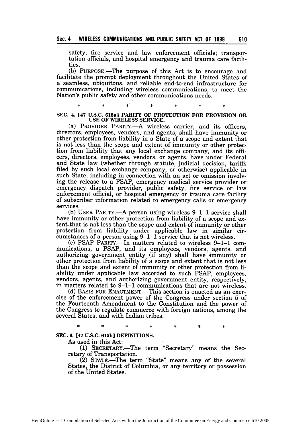safety, fire service and law enforcement officials; transportation officials, and hospital emergency and trauma care facilities.

(b) PURPOSE.-The purpose of this Act is to encourage and facilitate the prompt deployment throughout the United States of a seamless, ubiquitous, and reliable end-to-end infrastructure for communications, including wireless communications, to meet the Nation's public safety and other communications needs.

#### SEC. 4. [47 **U.S.C.** 615a1 PARITY OF PROTECTION FOR PROVISION OR **USE** OF WIRELESS SERVICE.

(a) PROVIDER PARITY.—A wireless carrier, and its officers, directors, employees, vendors, and agents, shall have immunity or other protection from liability in a State of a scope and extent that is not less than the scope and extent of immunity or other protection from liability that any local exchange company, and its officers, directors, employees, vendors, or agents, have under Federal and State law (whether through statute, judicial decision, tariffs filed by such local exchange company, or otherwise) applicable in such State, including in connection with an act or omission involving the release to a PSAP, emergency medical service provider or emergency dispatch provider, public safety, fire service or law enforcement official, or hospital emergency or trauma care facility of subscriber information related to emergency calls or emergency services.

(b) USER PARITY.—A person using wireless  $9-1-1$  service shall have immunity or other protection from liability of a scope and extent. that is not less than the scope and extent of immunity or other protection from liability under applicable law in similar circumstances of a person using 9-1-1 service that is not wireless.

(c) PSAP PARITY.-In matters related to wireless 9-1-1 communications, a PSAP, and its employees, vendors, agents, and authorizing government entity (if any) shall have immunity or other protection from liability of a scope and extent that is not less than the scope and extent of immunity or other protection from liability under applicable law accorded to such PSAP, employees, vendors, agents, and authorizing government entity, respectively, in matters related to 9-1-1 communications that are not wireless.

(d) BASIS FOR ENACTMENT.—This section is enacted as an exercise of the enforcement power of the Congress under section 5 of the Fourteenth Amendment to the Constitution and the power of the Congress to regulate commerce with foreign nations, among the several States, and with Indian tribes.

### SEC. **6.** [47 U.S.C. **615b]** DEFINITIONS.

As used in this Act:

(1) SECRETARY.-The term "Secretary" means the Secretary of Transportation.

(2) STATE.-The term "State" means any of the several States, the District of Columbia, or any territory or possession of the United States.

HeinOnline -- 1 Compilation of Selected Acts within the Jurisdiction of the Committee on Energy and Commerce 610 2005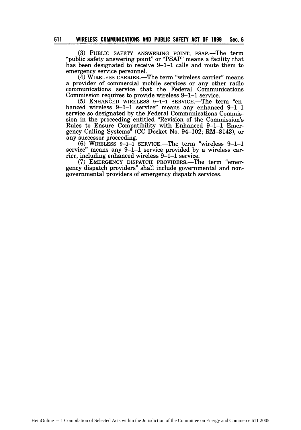(3) PUBLIC SAFETY ANSWERING POINT; PSAP.—The term "public safety answering point" or "PSAP" means a facility that has been designated to receive 9-1-1 calls and route them to emergency service personnel.

(4) WIRELESS CARRIER.-The term "wireless carrier" means a provider of commercial mobile services or any other radio communications service that the Federal Communications Commission requires to provide wireless 9-1-1 service.

 $(5)$  ENHANCED WIRELESS 9-1-1 SERVICE.—The term "enhanced wireless 9-1-1 service" means any enhanced 9-1-1 service so designated by the Federal Communications Commission in the proceeding entitled "Revision of the Commission's Rules to Ensure Compatibility with Enhanced 9-1-1 Emergency Calling Systems" (CC Docket No. 94-102; RM-8143), or any successor proceeding.

(6) WIRELESS **9-1-1** SERVICE.-The term "wireless **9-1-1** service" means any 9-1-1 service provided by a wireless carrier, including enhanced wireless 9-1-1 service.

(7) EMERGENCY DISPATCH PROVIDERS.—The term "emergency dispatch providers" shall include governmental and nongovernmental providers of emergency dispatch services.

HeinOnline -- 1 Compilation of Selected Acts within the Jurisdiction of the Committee on Energy and Commerce 611 2005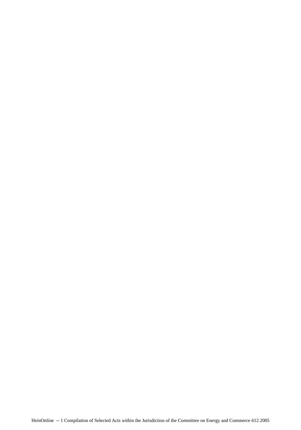HeinOnline -- 1 Compilation of Selected Acts within the Jurisdiction of the Committee on Energy and Commerce 612 2005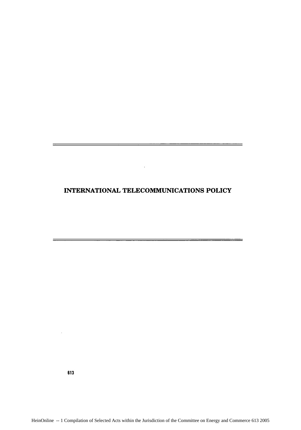# INTERNATIONAL **TELECOMMUNICATIONS** POLICY

<u> 1989 - Johann Barn, amerikan besteman besteman besteman besteman besteman besteman besteman besteman besteman</u>

\_\_\_\_\_\_\_\_\_\_\_\_\_\_\_\_\_\_\_

 $\sim 10^{-10}$ 

613

 $\overline{\phantom{a}}$ 

 $\equiv$